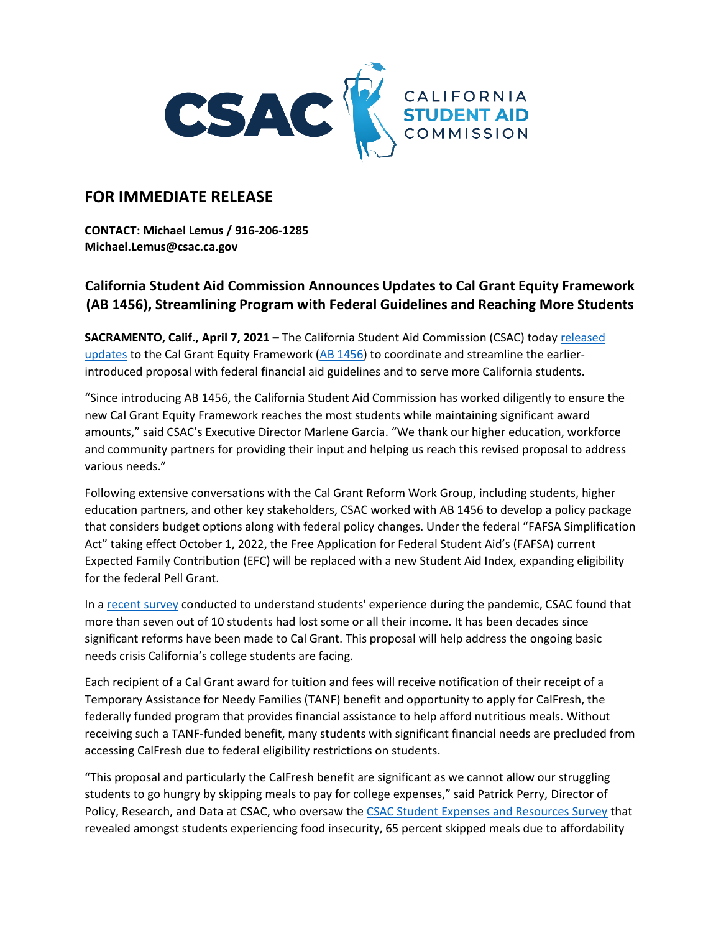

## **FOR IMMEDIATE RELEASE**

**CONTACT: Michael Lemus / 916-206-1285 Michael.Lemus@csac.ca.gov**

## **California Student Aid Commission Announces Updates to Cal Grant Equity Framework (AB 1456), Streamlining Program with Federal Guidelines and Reaching More Students**

**SACRAMENTO, Calif., April 7, 2021 –** The California Student Aid Commission (CSAC) today [released](https://www.csac.ca.gov/sites/main/files/file-attachments/cal_grant_equity_framework_and_sudent_aid_index_brief.pdf?1617836795)  [updates](https://www.csac.ca.gov/sites/main/files/file-attachments/cal_grant_equity_framework_and_sudent_aid_index_brief.pdf?1617836795) to the Cal Grant Equity Framework  $(AB 1456)$  to coordinate and streamline the earlierintroduced proposal with federal financial aid guidelines and to serve more California students.

"Since introducing AB 1456, the California Student Aid Commission has worked diligently to ensure the new Cal Grant Equity Framework reaches the most students while maintaining significant award amounts," said CSAC's Executive Director Marlene Garcia. "We thank our higher education, workforce and community partners for providing their input and helping us reach this revised proposal to address various needs."

Following extensive conversations with the Cal Grant Reform Work Group, including students, higher education partners, and other key stakeholders, CSAC worked with AB 1456 to develop a policy package that considers budget options along with federal policy changes. Under the federal "FAFSA Simplification Act" taking effect October 1, 2022, the Free Application for Federal Student Aid's (FAFSA) current Expected Family Contribution (EFC) will be replaced with a new Student Aid Index, expanding eligibility for the federal Pell Grant.

In a [recent survey](https://www.csac.ca.gov/survey2020) conducted to understand students' experience during the pandemic, CSAC found that more than seven out of 10 students had lost some or all their income. It has been decades since significant reforms have been made to Cal Grant. This proposal will help address the ongoing basic needs crisis California's college students are facing.

Each recipient of a Cal Grant award for tuition and fees will receive notification of their receipt of a Temporary Assistance for Needy Families (TANF) benefit and opportunity to apply for CalFresh, the federally funded program that provides financial assistance to help afford nutritious meals. Without receiving such a TANF-funded benefit, many students with significant financial needs are precluded from accessing CalFresh due to federal eligibility restrictions on students.

"This proposal and particularly the CalFresh benefit are significant as we cannot allow our struggling students to go hungry by skipping meals to pay for college expenses," said Patrick Perry, Director of Policy, Research, and Data at CSAC, who oversaw the [CSAC Student Expenses and Resources Survey](https://www.csac.ca.gov/sears) that revealed amongst students experiencing food insecurity, 65 percent skipped meals due to affordability